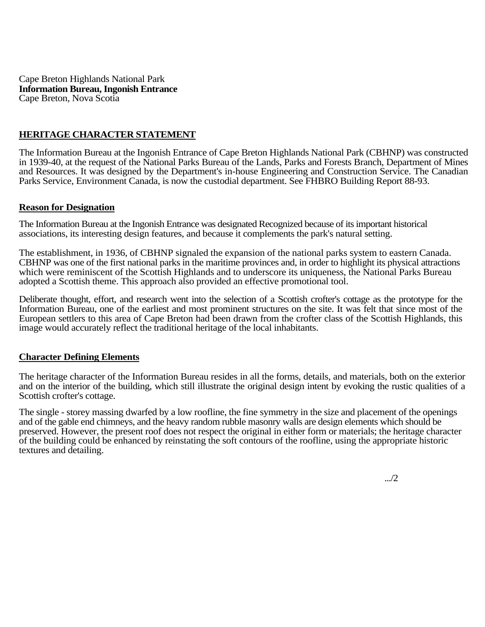Cape Breton Highlands National Park **Information Bureau, Ingonish Entrance**  Cape Breton, Nova Scotia

## **HERITAGE CHARACTER STATEMENT**

The Information Bureau at the Ingonish Entrance of Cape Breton Highlands National Park (CBHNP) was constructed in 1939-40, at the request of the National Parks Bureau of the Lands, Parks and Forests Branch, Department of Mines and Resources. It was designed by the Department's in-house Engineering and Construction Service. The Canadian Parks Service, Environment Canada, is now the custodial department. See FHBRO Building Report 88-93.

## **Reason for Designation**

The Information Bureau at the Ingonish Entrance was designated Recognized because of its important historical associations, its interesting design features, and because it complements the park's natural setting.

The establishment, in 1936, of CBHNP signaled the expansion of the national parks system to eastern Canada. CBHNP was one of the first national parks in the maritime provinces and, in order to highlight its physical attractions which were reminiscent of the Scottish Highlands and to underscore its uniqueness, the National Parks Bureau adopted a Scottish theme. This approach also provided an effective promotional tool.

Deliberate thought, effort, and research went into the selection of a Scottish crofter's cottage as the prototype for the Information Bureau, one of the earliest and most prominent structures on the site. It was felt that since most of the European settlers to this area of Cape Breton had been drawn from the crofter class of the Scottish Highlands, this image would accurately reflect the traditional heritage of the local inhabitants.

## **Character Defining Elements**

The heritage character of the Information Bureau resides in all the forms, details, and materials, both on the exterior and on the interior of the building, which still illustrate the original design intent by evoking the rustic qualities of a Scottish crofter's cottage.

The single - storey massing dwarfed by a low roofline, the fine symmetry in the size and placement of the openings and of the gable end chimneys, and the heavy random rubble masonry walls are design elements which should be preserved. However, the present roof does not respect the original in either form or materials; the heritage character of the building could be enhanced by reinstating the soft contours of the roofline, using the appropriate historic textures and detailing.

.../2